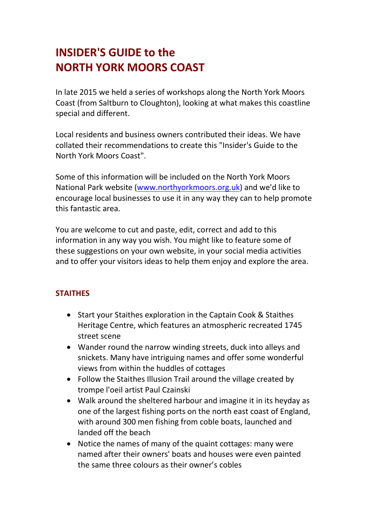# INSIDER'S GUIDE to the NORTH YORK MOORS COAST

In late 2015 we held a series of workshops along the North York Moors Coast (from Saltburn to Cloughton), looking at what makes this coastline special and different.

Local residents and business owners contributed their ideas. We have collated their recommendations to create this "Insider's Guide to the North York Moors Coast".

Some of this information will be included on the North York Moors National Park website (www.northyorkmoors.org.uk) and we'd like to encourage local businesses to use it in any way they can to help promote this fantastic area.

You are welcome to cut and paste, edit, correct and add to this information in any way you wish. You might like to feature some of these suggestions on your own website, in your social media activities and to offer your visitors ideas to help them enjoy and explore the area.

#### **STAITHES**

- Start your Staithes exploration in the Captain Cook & Staithes Heritage Centre, which features an atmospheric recreated 1745 street scene
- Wander round the narrow winding streets, duck into alleys and snickets. Many have intriguing names and offer some wonderful views from within the huddles of cottages
- Follow the Staithes Illusion Trail around the village created by trompe l'oeil artist Paul Czainski
- Walk around the sheltered harbour and imagine it in its heyday as one of the largest fishing ports on the north east coast of England, with around 300 men fishing from coble boats, launched and landed off the beach
- Notice the names of many of the quaint cottages: many were named after their owners' boats and houses were even painted the same three colours as their owner's cobles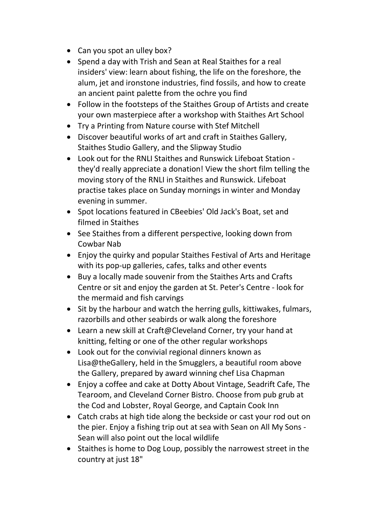- Can you spot an ulley box?
- Spend a day with Trish and Sean at Real Staithes for a real insiders' view: learn about fishing, the life on the foreshore, the alum, jet and ironstone industries, find fossils, and how to create an ancient paint palette from the ochre you find
- Follow in the footsteps of the Staithes Group of Artists and create your own masterpiece after a workshop with Staithes Art School
- Try a Printing from Nature course with Stef Mitchell
- Discover beautiful works of art and craft in Staithes Gallery, Staithes Studio Gallery, and the Slipway Studio
- Look out for the RNLI Staithes and Runswick Lifeboat Station they'd really appreciate a donation! View the short film telling the moving story of the RNLI in Staithes and Runswick. Lifeboat practise takes place on Sunday mornings in winter and Monday evening in summer.
- Spot locations featured in CBeebies' Old Jack's Boat, set and filmed in Staithes
- See Staithes from a different perspective, looking down from Cowbar Nab
- Enjoy the quirky and popular Staithes Festival of Arts and Heritage with its pop-up galleries, cafes, talks and other events
- Buy a locally made souvenir from the Staithes Arts and Crafts Centre or sit and enjoy the garden at St. Peter's Centre - look for the mermaid and fish carvings
- Sit by the harbour and watch the herring gulls, kittiwakes, fulmars, razorbills and other seabirds or walk along the foreshore
- Learn a new skill at Craft@Cleveland Corner, try your hand at knitting, felting or one of the other regular workshops
- Look out for the convivial regional dinners known as Lisa@theGallery, held in the Smugglers, a beautiful room above the Gallery, prepared by award winning chef Lisa Chapman
- Enjoy a coffee and cake at Dotty About Vintage, Seadrift Cafe, The Tearoom, and Cleveland Corner Bistro. Choose from pub grub at the Cod and Lobster, Royal George, and Captain Cook Inn
- Catch crabs at high tide along the beckside or cast your rod out on the pier. Enjoy a fishing trip out at sea with Sean on All My Sons - Sean will also point out the local wildlife
- Staithes is home to Dog Loup, possibly the narrowest street in the country at just 18"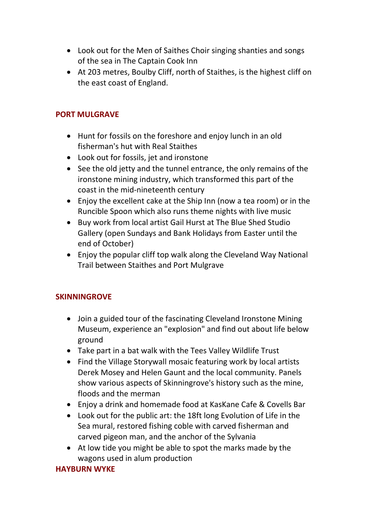- Look out for the Men of Saithes Choir singing shanties and songs of the sea in The Captain Cook Inn
- At 203 metres, Boulby Cliff, north of Staithes, is the highest cliff on the east coast of England.

#### PORT MULGRAVE

- Hunt for fossils on the foreshore and enjoy lunch in an old fisherman's hut with Real Staithes
- Look out for fossils, jet and ironstone
- See the old jetty and the tunnel entrance, the only remains of the ironstone mining industry, which transformed this part of the coast in the mid-nineteenth century
- Enjoy the excellent cake at the Ship Inn (now a tea room) or in the Runcible Spoon which also runs theme nights with live music
- Buy work from local artist Gail Hurst at The Blue Shed Studio Gallery (open Sundays and Bank Holidays from Easter until the end of October)
- Enjoy the popular cliff top walk along the Cleveland Way National Trail between Staithes and Port Mulgrave

#### SKINNINGROVE

- Join a guided tour of the fascinating Cleveland Ironstone Mining Museum, experience an "explosion" and find out about life below ground
- Take part in a bat walk with the Tees Valley Wildlife Trust
- Find the Village Storywall mosaic featuring work by local artists Derek Mosey and Helen Gaunt and the local community. Panels show various aspects of Skinningrove's history such as the mine, floods and the merman
- Enjoy a drink and homemade food at KasKane Cafe & Covells Bar
- Look out for the public art: the 18ft long Evolution of Life in the Sea mural, restored fishing coble with carved fisherman and carved pigeon man, and the anchor of the Sylvania
- At low tide you might be able to spot the marks made by the wagons used in alum production

#### HAYBURN WYKE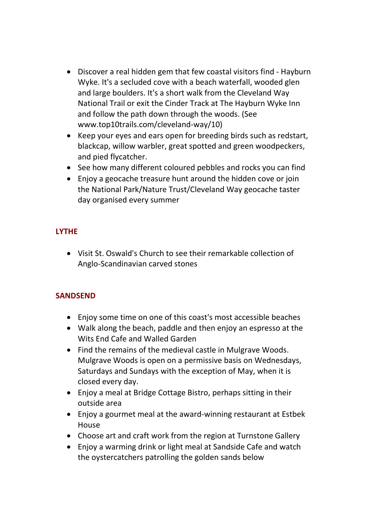- Discover a real hidden gem that few coastal visitors find Hayburn Wyke. It's a secluded cove with a beach waterfall, wooded glen and large boulders. It's a short walk from the Cleveland Way National Trail or exit the Cinder Track at The Hayburn Wyke Inn and follow the path down through the woods. (See www.top10trails.com/cleveland-way/10)
- Keep your eyes and ears open for breeding birds such as redstart, blackcap, willow warbler, great spotted and green woodpeckers, and pied flycatcher.
- See how many different coloured pebbles and rocks you can find
- Enjoy a geocache treasure hunt around the hidden cove or join the National Park/Nature Trust/Cleveland Way geocache taster day organised every summer

## LYTHE

 Visit St. Oswald's Church to see their remarkable collection of Anglo-Scandinavian carved stones

## **SANDSEND**

- Enjoy some time on one of this coast's most accessible beaches
- Walk along the beach, paddle and then enjoy an espresso at the Wits End Cafe and Walled Garden
- Find the remains of the medieval castle in Mulgrave Woods. Mulgrave Woods is open on a permissive basis on Wednesdays, Saturdays and Sundays with the exception of May, when it is closed every day.
- Enjoy a meal at Bridge Cottage Bistro, perhaps sitting in their outside area
- Enjoy a gourmet meal at the award-winning restaurant at Estbek House
- Choose art and craft work from the region at Turnstone Gallery
- Enjoy a warming drink or light meal at Sandside Cafe and watch the oystercatchers patrolling the golden sands below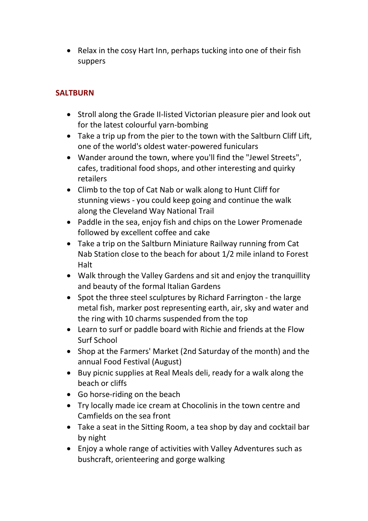• Relax in the cosy Hart Inn, perhaps tucking into one of their fish suppers

## **SALTBURN**

- Stroll along the Grade II-listed Victorian pleasure pier and look out for the latest colourful yarn-bombing
- Take a trip up from the pier to the town with the Saltburn Cliff Lift, one of the world's oldest water-powered funiculars
- Wander around the town, where you'll find the "Jewel Streets", cafes, traditional food shops, and other interesting and quirky retailers
- Climb to the top of Cat Nab or walk along to Hunt Cliff for stunning views - you could keep going and continue the walk along the Cleveland Way National Trail
- Paddle in the sea, enjoy fish and chips on the Lower Promenade followed by excellent coffee and cake
- Take a trip on the Saltburn Miniature Railway running from Cat Nab Station close to the beach for about 1/2 mile inland to Forest Halt
- Walk through the Valley Gardens and sit and enjoy the tranquillity and beauty of the formal Italian Gardens
- Spot the three steel sculptures by Richard Farrington the large metal fish, marker post representing earth, air, sky and water and the ring with 10 charms suspended from the top
- Learn to surf or paddle board with Richie and friends at the Flow Surf School
- Shop at the Farmers' Market (2nd Saturday of the month) and the annual Food Festival (August)
- Buy picnic supplies at Real Meals deli, ready for a walk along the beach or cliffs
- Go horse-riding on the beach
- Try locally made ice cream at Chocolinis in the town centre and Camfields on the sea front
- Take a seat in the Sitting Room, a tea shop by day and cocktail bar by night
- Enjoy a whole range of activities with Valley Adventures such as bushcraft, orienteering and gorge walking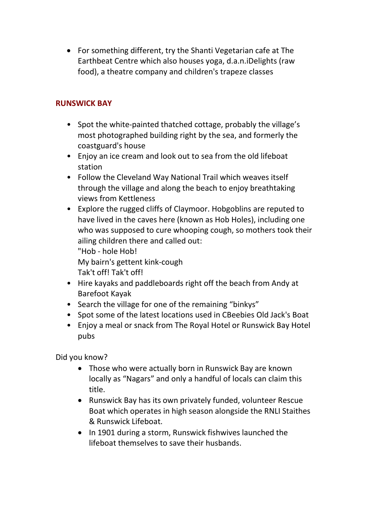For something different, try the Shanti Vegetarian cafe at The Earthbeat Centre which also houses yoga, d.a.n.iDelights (raw food), a theatre company and children's trapeze classes

## RUNSWICK BAY

- Spot the white-painted thatched cottage, probably the village's most photographed building right by the sea, and formerly the coastguard's house
- Enjoy an ice cream and look out to sea from the old lifeboat station
- Follow the Cleveland Way National Trail which weaves itself through the village and along the beach to enjoy breathtaking views from Kettleness
- Explore the rugged cliffs of Claymoor. Hobgoblins are reputed to have lived in the caves here (known as Hob Holes), including one who was supposed to cure whooping cough, so mothers took their ailing children there and called out:

 "Hob - hole Hob! My bairn's gettent kink-cough

Tak't off! Tak't off!

- Hire kayaks and paddleboards right off the beach from Andy at Barefoot Kayak
- Search the village for one of the remaining "binkys"
- Spot some of the latest locations used in CBeebies Old Jack's Boat
- Enjoy a meal or snack from The Royal Hotel or Runswick Bay Hotel pubs

Did you know?

- Those who were actually born in Runswick Bay are known locally as "Nagars" and only a handful of locals can claim this title.
- Runswick Bay has its own privately funded, volunteer Rescue Boat which operates in high season alongside the RNLI Staithes & Runswick Lifeboat.
- In 1901 during a storm, Runswick fishwives launched the lifeboat themselves to save their husbands.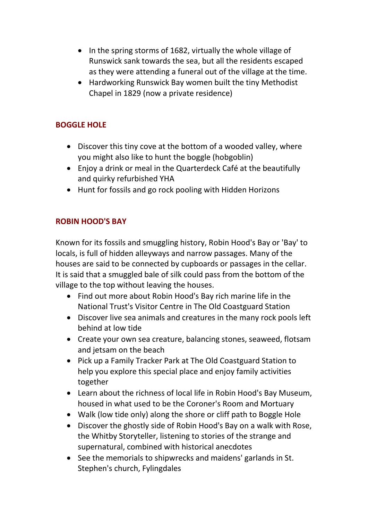- In the spring storms of 1682, virtually the whole village of Runswick sank towards the sea, but all the residents escaped as they were attending a funeral out of the village at the time.
- Hardworking Runswick Bay women built the tiny Methodist Chapel in 1829 (now a private residence)

#### BOGGLE HOLE

- Discover this tiny cove at the bottom of a wooded valley, where you might also like to hunt the boggle (hobgoblin)
- Enjoy a drink or meal in the Quarterdeck Café at the beautifully and quirky refurbished YHA
- Hunt for fossils and go rock pooling with Hidden Horizons

## ROBIN HOOD'S BAY

Known for its fossils and smuggling history, Robin Hood's Bay or 'Bay' to locals, is full of hidden alleyways and narrow passages. Many of the houses are said to be connected by cupboards or passages in the cellar. It is said that a smuggled bale of silk could pass from the bottom of the village to the top without leaving the houses.

- Find out more about Robin Hood's Bay rich marine life in the National Trust's Visitor Centre in The Old Coastguard Station
- Discover live sea animals and creatures in the many rock pools left behind at low tide
- Create your own sea creature, balancing stones, seaweed, flotsam and jetsam on the beach
- Pick up a Family Tracker Park at The Old Coastguard Station to help you explore this special place and enjoy family activities together
- Learn about the richness of local life in Robin Hood's Bay Museum, housed in what used to be the Coroner's Room and Mortuary
- Walk (low tide only) along the shore or cliff path to Boggle Hole
- Discover the ghostly side of Robin Hood's Bay on a walk with Rose, the Whitby Storyteller, listening to stories of the strange and supernatural, combined with historical anecdotes
- See the memorials to shipwrecks and maidens' garlands in St. Stephen's church, Fylingdales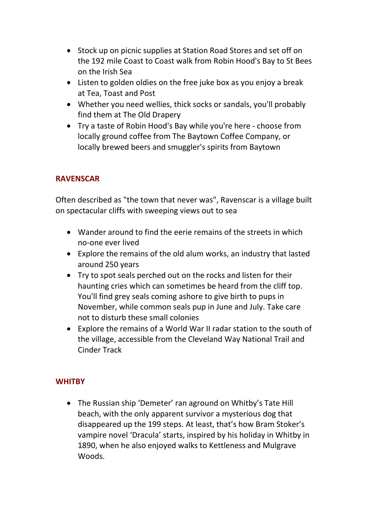- Stock up on picnic supplies at Station Road Stores and set off on the 192 mile Coast to Coast walk from Robin Hood's Bay to St Bees on the Irish Sea
- Listen to golden oldies on the free juke box as you enjoy a break at Tea, Toast and Post
- Whether you need wellies, thick socks or sandals, you'll probably find them at The Old Drapery
- Try a taste of Robin Hood's Bay while you're here choose from locally ground coffee from The Baytown Coffee Company, or locally brewed beers and smuggler's spirits from Baytown

## **RAVENSCAR**

Often described as "the town that never was", Ravenscar is a village built on spectacular cliffs with sweeping views out to sea

- Wander around to find the eerie remains of the streets in which no-one ever lived
- Explore the remains of the old alum works, an industry that lasted around 250 years
- Try to spot seals perched out on the rocks and listen for their haunting cries which can sometimes be heard from the cliff top. You'll find grey seals coming ashore to give birth to pups in November, while common seals pup in June and July. Take care not to disturb these small colonies
- Explore the remains of a World War II radar station to the south of the village, accessible from the Cleveland Way National Trail and Cinder Track

## **WHITBY**

 The Russian ship 'Demeter' ran aground on Whitby's Tate Hill beach, with the only apparent survivor a mysterious dog that disappeared up the 199 steps. At least, that's how Bram Stoker's vampire novel 'Dracula' starts, inspired by his holiday in Whitby in 1890, when he also enjoyed walks to Kettleness and Mulgrave Woods.